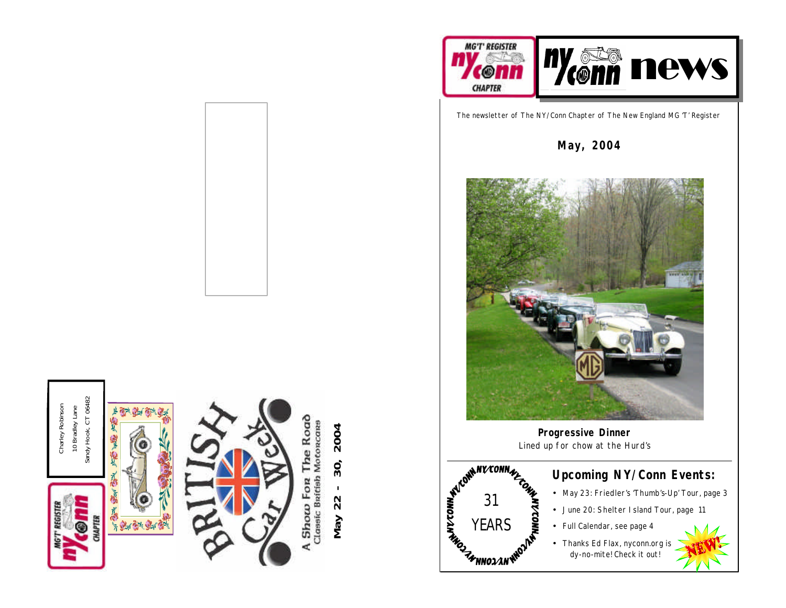



The newsletter of The NY/Conn Chapter of The New England MG 'T' Register

**May, 2004**



**Progressive Dinner** Lined up for chow at the Hurd's



#### **Upcoming NY/Conn Events:**

- May 23: Friedler's 'Thumb's-Up' Tour, page 3
- June 20: Shelter Island Tour, page 11
- Full Calendar, see page 4
- Thanks Ed Flax, nyconn.org is dy-no-mite! Check it out!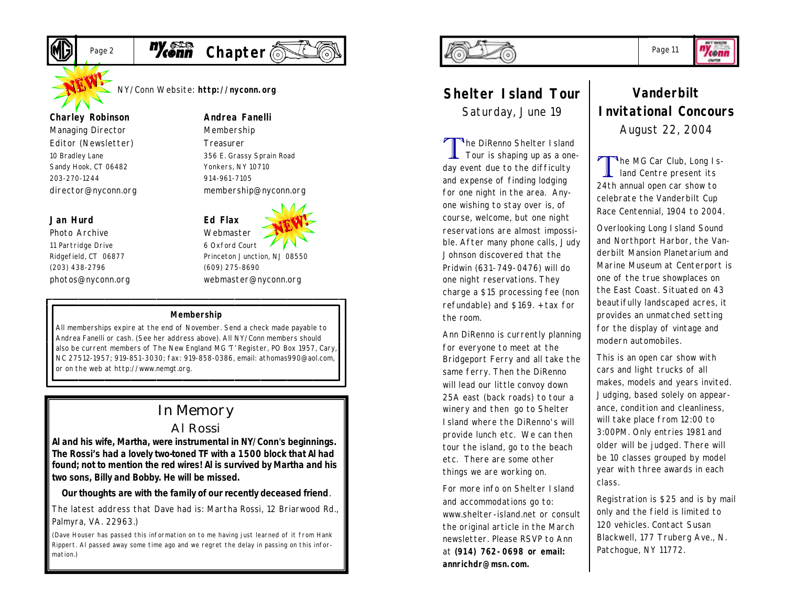

Page 2 **Meann** Chapter

NY/Conn Website: **http://nyconn.org**

#### **Charley Robinson**

*Managing Director Editor (Newsletter)* 10 Bradley Lane Sandy Hook, CT 06482 203-270-1244 director@nyconn.org

#### **Jan Hurd**

*Photo Archive* 11 Partridge Drive Ridgefield, CT 06877 (203) 438-2796 photos@nyconn.org **Andrea Fanelli** *Membership*

> *Treasurer* 356 E. Grassy Sprain Road Yonkers, NY 10710 914-961-7105 membership@nyconn.org



6 Oxford Court Princeton Junction, NJ 08550 (609) 275-8690 webmaster@nyconn.org

#### **Membership**

All memberships expire at the end of November. Send a check made payable to Andrea Fanelli or cash. (See her address above). All NY/Conn members should also be current members of The New England MG 'T' Register, PO Box 1957, Cary, NC 27512-1957; 919-851-3030; fax: 919-858-0386, email: athomas990@aol.com, or on the web at http://www.nemgt.org.

### In Memory

#### Al Rossi

**Al and his wife, Martha, were instrumental in NY/Conn's beginnings. The Rossi's had a lovely two-toned TF with a 1500 block that Al had found; not to mention the red wires! Al is survived by Martha and his two sons, Billy and Bobby. He will be missed.**

**Our thoughts are with the family of our recently deceased friend**.

*The latest address that Dave had is: Martha Rossi, 12 Briarwood Rd., Palmyra, VA. 22963.)*

*(Dave Houser has passed this information on to me having just learned of it from Hank Rippert. Al passed away some time ago and we regret the delay in passing on this information.)*



## **Shelter Island Tour**

Saturday, June 19

T The DiRenno Shelter I sland Tour is shaping up as a oneday event due to the difficulty and expense of finding lodging for one night in the area. Anyone wishing to stay over is, of course, welcome, but one night reservations are almost impossible. After many phone calls, Judy Johnson discovered that the Pridwin (631-749-0476) will do one night reservations. They charge a \$15 processing fee (non refundable) and \$169. + tax for the room.

Ann DiRenno is currently planning for everyone to meet at the Bridgeport Ferry and all take the same ferry. Then the DiRenno will lead our little convoy down 25A east (back roads) to tour a winery and then go to Shelter Island where the DiRenno's will provide lunch etc. We can then tour the island, go to the beach etc. There are some other things we are working on.

For more info on Shelter Island and accommodations go to: www.shelter-island.net or consult the original article in the March newsletter. Please RSVP to Ann at **(914) 762-0698 or email: annrichdr@msn.com.**

#### **Vanderbilt Invitational Concours** August 22, 2004

T The MG Car Club, Long Island Centre present its 24th annual open car show to celebrate the Vanderbilt Cup Race Centennial, 1904 to 2004.

Overlooking Long Island Sound and Northport Harbor, the Vanderbilt Mansion Planetarium and Marine Museum at Centerport is one of the true showplaces on the East Coast. Situated on 43 beautifully landscaped acres, it provides an unmatched setting for the display of vintage and modern automobiles.

This is an open car show with cars and light trucks of all makes, models and years invited. Judging, based solely on appearance, condition and cleanliness, will take place from 12:00 to 3:00PM. Only entries 1981 and older will be judged. There will be 10 classes grouped by model year with three awards in each class.

Registration is \$25 and is by mail only and the field is limited to 120 vehicles. Contact Susan Blackwell, 177 Truberg Ave., N. Patchogue, NY 11772.

Page 11

"Ycenn **CHAPTER**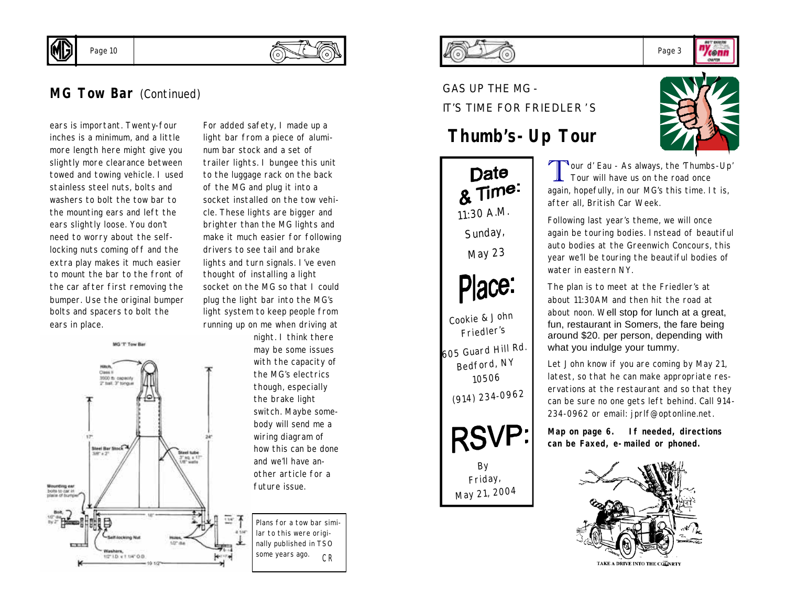



Page 10

ears is important. Twenty-four inches is a minimum, and a little more length here might give you slightly more clearance between towed and towing vehicle. I used stainless steel nuts, bolts and washers to bolt the tow bar to the mounting ears and left the ears slightly loose. You don't need to worry about the selflocking nuts coming off and the extra play makes it much easier to mount the bar to the front of the car after first removing the bumper. Use the original bumper bolts and spacers to bolt the ears in place.



For added safety, I made up a light bar from a piece of aluminum bar stock and a set of trailer lights. I bungee this unit to the luggage rack on the back of the MG and plug it into a socket installed on the tow vehicle. These lights are bigger and brighter than the MG lights and make it much easier for following drivers to see tail and brake lights and turn signals. I've even thought of installing a light socket on the MG so that I could plug the light bar into the MG's light system to keep people from running up on me when driving at

night. I think there may be some issues with the capacity of the MG's electrics though, especially the brake light switch. Maybe somebody will send me a wiring diagram of how this can be done and we'll have another article for a future issue.

*CR Plans for a tow bar similar to this were originally published in TSO some years ago.*



GAS UP THE MG - IT'S TIME FOR FRIEDLER'S

#### **Thumb's-Up Tour**





Tour d' Eau - As always, the 'Thumbs-Up'<br>Tour will have us on the road once Tour will have us on the road once again, hopefully, in our MG's this time. It is, after all, British Car Week.

Following last year's theme, we will once again be touring bodies. Instead of beautiful auto bodies at the Greenwich Concours, this year we'll be touring the beautiful bodies of water in eastern NY.

The plan is to meet at the Friedler's at about 11:30AM and then hit the road at about noon. Well stop for lunch at a great, fun, restaurant in Somers, the fare being around \$20. per person, depending with what you indulge your tummy.

Let John know if you are coming by May 21, latest, so that he can make appropriate reservations at the restaurant and so that they can be sure no one gets left behind. Call 914- 234-0962 or email: jprlf@optonline.net.

**Map on page 6. If needed, directions can be Faxed, e-mailed or phoned.** 



TAKE A DRIVE INTO THE COLNRTY

Page 3 *cenn* 

**CHAPTER**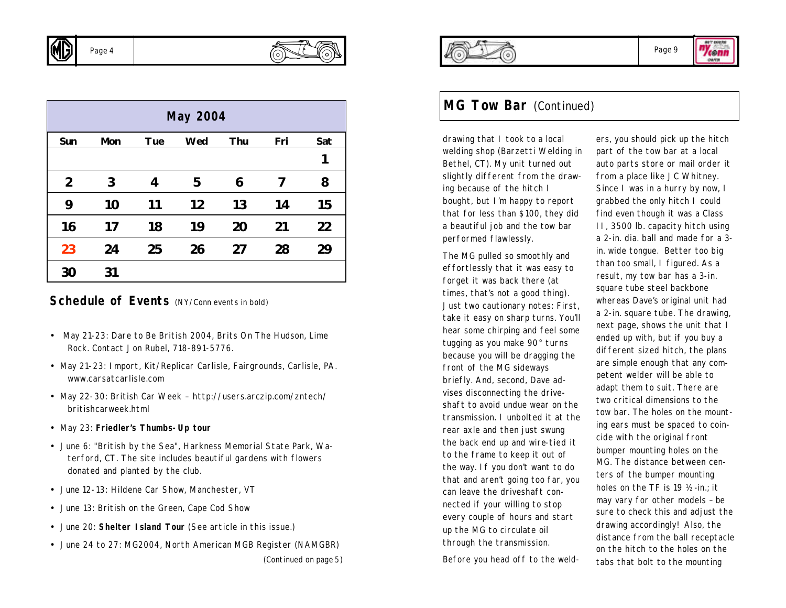

| <b>May 2004</b> |     |            |     |     |     |     |
|-----------------|-----|------------|-----|-----|-----|-----|
| Sun             | Mon | <b>Tue</b> | Wed | Thu | Fri | Sat |
|                 |     |            |     |     |     | 1   |
| $\overline{2}$  | 3   | 4          | 5   | 6   | 7   | 8   |
| 9               | 10  | 11         | 12  | 13  | 14  | 15  |
| 16              | 17  | 18         | 19  | 20  | 21  | 22  |
| 23              | 24  | 25         | 26  | 27  | 28  | 29  |
| 30              | 31  |            |     |     |     |     |

#### **Schedule of Events** (NY/Conn events in bold)

- May 21-23: Dare to Be British 2004, Brits On The Hudson, Lime Rock. Contact Jon Rubel, 718-891-5776.
- May 21-23: Import, Kit/Replicar Carlisle, Fairgrounds, Carlisle, PA. www.carsatcarlisle.com
- May 22-30: British Car Week http://users.arczip.com/zntech/ britishcarweek.html
- *May 23: Friedler's Thumbs-Up tour*
- June 6: "British by the Sea", Harkness Memorial State Park, Waterford, CT. The site includes beautiful gardens with flowers donated and planted by the club.
- June 12-13: Hildene Car Show, Manchester, VT
- June 13: British on the Green, Cape Cod Show
- June 20: **Shelter Island Tour** (See article in this issue.)
- June 24 to 27: MG2004, North American MGB Register (NAMGBR)



OMMIN

#### **MG Tow Bar** (Continued)

drawing that I took to a local welding shop (Barzetti Welding in Bethel, CT). My unit turned out slightly different from the drawing because of the hitch I bought, but I'm happy to report that for less than \$100, they did a beautiful job and the tow bar performed flawlessly.

The MG pulled so smoothly and effortlessly that it was easy to forget it was back there (at times, that's not a good thing). Just two cautionary notes: First, take it easy on sharp turns. You'll hear some chirping and feel some tugging as you make 90° turns because you will be dragging the front of the MG sideways briefly. And, second, Dave advises disconnecting the driveshaft to avoid undue wear on the transmission. I unbolted it at the rear axle and then just swung the back end up and wire-tied it to the frame to keep it out of the way. If you don't want to do that and aren't going too far, you can leave the driveshaft connected if your willing to stop every couple of hours and start up the MG to circulate oil through the transmission.

Before you head off to the weld-

ers, you should pick up the hitch part of the tow bar at a local auto parts store or mail order it from a place like JC Whitney. Since I was in a hurry by now, I grabbed the only hitch I could find even though it was a Class II, 3500 lb. capacity hitch using a 2-in. dia. ball and made for a 3 in. wide tongue. Better too big than too small, I figured. As a result, my tow bar has a 3-in. square tube steel backbone whereas Dave's original unit had a 2-in. square tube. The drawing, next page, shows the unit that I ended up with, but if you buy a different sized hitch, the plans are simple enough that any competent welder will be able to adapt them to suit. There are two critical dimensions to the tow bar. The holes on the mounting ears must be spaced to coincide with the original front bumper mounting holes on the MG. The distance between centers of the bumper mounting holes on the TF is 19 ½ -in.; it may vary for other models – be sure to check this and adjust the drawing accordingly! Also, the distance from the ball receptacle on the hitch to the holes on the tabs that bolt to the mounting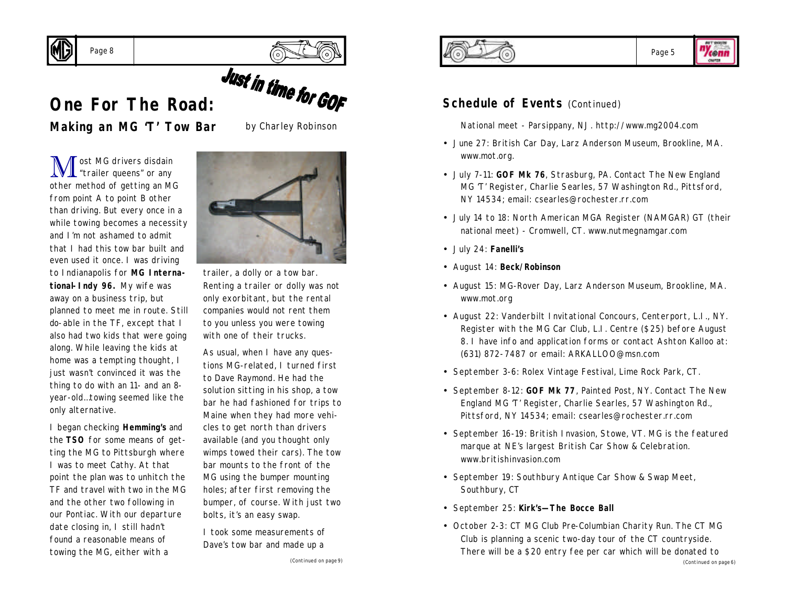



# **Cone For The Road:**<br> **One For The Road:**

# **Making an MG 'T' Tow Bar**

by Charley Robinson

M ost MG drivers disdain<br>
"trailer queens" or any other method of getting an MG from point A to point B other than driving. But every once in a while towing becomes a necessity and I'm not ashamed to admit that I had this tow bar built and even used it once. I was driving to Indianapolis for **MG International-Indy 96.** My wife was away on a business trip, but planned to meet me in route. Still do-able in the TF, except that I also had two kids that were going along. While leaving the kids at home was a tempting thought, I just wasn't convinced it was the thing to do with an 11- and an 8 year-old…towing seemed like the only alternative.

I began checking **Hemming's** and the **TSO** for some means of getting the MG to Pittsburgh where I was to meet Cathy. At that point the plan was to unhitch the TF and travel with two in the MG and the other two following in our Pontiac. With our departure date closing in, I still hadn't found a reasonable means of towing the MG, either with a



trailer, a dolly or a tow bar. Renting a trailer or dolly was not only exorbitant, but the rental companies would not rent them to you unless you were towing with one of their trucks.

As usual, when I have any questions MG-related, I turned first to Dave Raymond. He had the solution sitting in his shop, a tow bar he had fashioned for trips to Maine when they had more vehicles to get north than drivers available (and you thought only wimps towed their cars). The tow bar mounts to the front of the MG using the bumper mounting holes; after first removing the bumper, of course. With just two bolts, it's an easy swap.

I took some measurements of Dave's tow bar and made up a





#### **Schedule of Events (Continued)**

National meet - Parsippany, NJ. http://www.mg2004.com

- June 27: British Car Day, Larz Anderson Museum, Brookline, MA. www.mot.org.
- July 7-11: **GOF Mk 76**, Strasburg, PA. Contact The New England MG 'T' Register, Charlie Searles, 57 Washington Rd., Pittsford, NY 14534; email: csearles@rochester.rr.com
- July 14 to 18: North American MGA Register (NAMGAR) GT (their national meet) - Cromwell, CT. www.nutmegnamgar.com
- July 24: **Fanelli's**
- August 14: **Beck/Robinson**
- August 15: MG-Rover Day, Larz Anderson Museum, Brookline, MA. www.mot.org
- August 22: Vanderbilt Invitational Concours, Centerport, L.I., NY. Register with the MG Car Club, L.I. Centre (\$25) before August 8. I have info and application forms or contact Ashton Kalloo at: (631) 872-7487 or email: ARKALLOO@msn.com
- September 3-6: Rolex Vintage Festival, Lime Rock Park, CT.
- September 8-12: **GOF Mk 77**, Painted Post, NY. Contact The New England MG 'T' Register, Charlie Searles, 57 Washington Rd., Pittsford, NY 14534; email: csearles@rochester.rr.com
- September 16-19: British Invasion, Stowe, VT. MG is the featured marque at NE's largest British Car Show & Celebration. www.britishinvasion.com
- September 19: Southbury Antique Car Show & Swap Meet, Southbury, CT
- September 25: **Kirk's—The Bocce Ball**
- October 2-3: CT MG Club Pre-Columbian Charity Run. The CT MG Club is planning a scenic two-day tour of the CT countryside. There will be a \$20 entry fee per car which will be donated to *(Continued on page 6)*